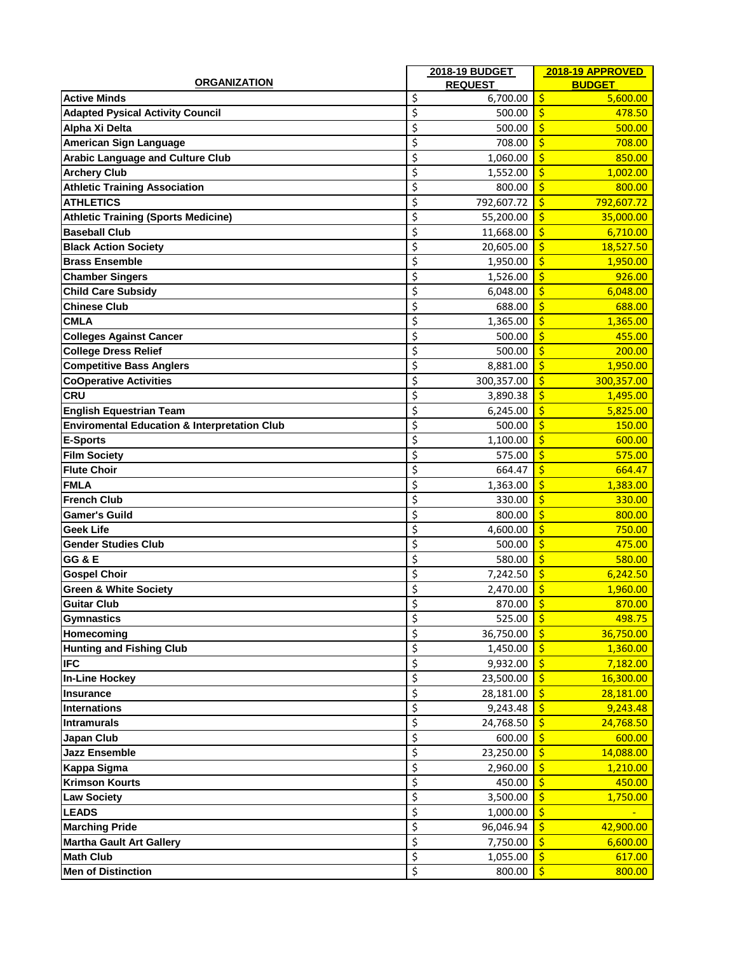|                                                         |    | 2018-19 BUDGET       | 2018-19 APPROVED                 |
|---------------------------------------------------------|----|----------------------|----------------------------------|
| <b>ORGANIZATION</b>                                     |    | <b>REQUEST</b>       | <b>BUDGET</b>                    |
| <b>Active Minds</b>                                     | \$ | 6,700.00             | \$<br>5,600.00                   |
| <b>Adapted Pysical Activity Council</b>                 | \$ | 500.00               | Ś<br>478.50                      |
| Alpha Xi Delta                                          | \$ | 500.00               | Ŝ<br>500.00                      |
| American Sign Language                                  | \$ | 708.00               | Ŝ<br>708.00                      |
| <b>Arabic Language and Culture Club</b>                 | \$ | 1,060.00             | Ś<br>850.00                      |
| <b>Archery Club</b>                                     | \$ | 1,552.00             | $\mathsf{\dot{S}}$<br>1,002.00   |
| <b>Athletic Training Association</b>                    | \$ | 800.00               | \$<br>800.00                     |
| <b>ATHLETICS</b>                                        | \$ | 792,607.72           | \$<br>792,607.72                 |
| <b>Athletic Training (Sports Medicine)</b>              | \$ | 55,200.00            | \$<br>35,000.00                  |
| <b>Baseball Club</b>                                    | \$ | 11,668.00            | \$<br>6,710.00                   |
| <b>Black Action Society</b>                             | \$ | 20,605.00            | Ś<br>18,527.50                   |
| <b>Brass Ensemble</b>                                   | \$ | 1,950.00             | Ś<br>1,950.00                    |
| <b>Chamber Singers</b>                                  | \$ | 1,526.00             | Ŝ<br>926.00                      |
| <b>Child Care Subsidy</b>                               | \$ | 6,048.00             | \$<br>6,048.00                   |
| <b>Chinese Club</b>                                     | \$ | 688.00               | \$<br>688.00                     |
| <b>CMLA</b>                                             | \$ | 1,365.00             | \$<br>1,365.00                   |
| <b>Colleges Against Cancer</b>                          | \$ | 500.00               | \$<br>455.00                     |
| <b>College Dress Relief</b>                             | \$ | 500.00               | Ś<br>200.00                      |
| <b>Competitive Bass Anglers</b>                         | \$ | 8,881.00             | Ŝ<br>1,950.00                    |
| <b>CoOperative Activities</b>                           | \$ | 300,357.00           | Ŝ<br>300,357.00                  |
| <b>CRU</b>                                              | \$ | 3,890.38             | Ŝ<br>1,495.00                    |
| <b>English Equestrian Team</b>                          | \$ | 6,245.00             | \$<br>5,825.00                   |
| <b>Enviromental Education &amp; Interpretation Club</b> | \$ | 500.00               | \$<br>150.00                     |
| <b>E-Sports</b>                                         | \$ | 1,100.00             | Ś<br>600.00                      |
| <b>Film Society</b>                                     | \$ | 575.00               | \$<br>575.00                     |
| <b>Flute Choir</b>                                      | \$ | 664.47               | \$<br>664.47                     |
| <b>FMLA</b>                                             | \$ | 1,363.00             | Ś<br>1,383.00                    |
| <b>French Club</b>                                      | \$ | 330.00               | Ś<br>330.00                      |
| <b>Gamer's Guild</b>                                    | \$ | 800.00               | Ŝ<br>800.00                      |
| <b>Geek Life</b>                                        | \$ | 4,600.00             | \$<br>750.00                     |
| <b>Gender Studies Club</b>                              | \$ | 500.00               | \$<br>475.00                     |
| <b>GG &amp; E</b>                                       | \$ | 580.00               | \$<br>580.00                     |
| <b>Gospel Choir</b>                                     | \$ | 7,242.50             | Ŝ<br>6,242.50                    |
| <b>Green &amp; White Society</b>                        | \$ | 2,470.00             | \$<br>1,960.00                   |
| <b>Guitar Club</b>                                      | Ś  | 870.00               | Ŕ<br>870.00                      |
|                                                         | \$ | 525.00 $\frac{1}{5}$ | 498.75                           |
| <b>Gymnastics</b><br>Homecoming                         | \$ | 36,750.00            | l s<br>36,750.00                 |
| <b>Hunting and Fishing Club</b>                         | \$ |                      | $\zeta$                          |
| <b>IFC</b>                                              | \$ | 1,450.00             | 1,360.00<br>$\zeta$              |
|                                                         |    | 9,932.00             | 7,182.00<br>$\zeta$              |
| <b>In-Line Hockey</b>                                   | \$ | 23,500.00            | 16,300.00                        |
| Insurance                                               | \$ | 28,181.00            | $\ddot{\mathsf{S}}$<br>28,181.00 |
| Internations                                            | \$ | 9,243.48             | \$<br>9,243.48                   |
| Intramurals                                             | \$ | 24,768.50            | 24,768.50                        |
| <b>Japan Club</b>                                       | \$ | 600.00               | Ś<br>600.00                      |
| <b>Jazz Ensemble</b>                                    | \$ | 23,250.00            | \$<br>14,088.00                  |
| <b>Kappa Sigma</b>                                      | \$ | 2,960.00             | $\frac{1}{2}$<br>1,210.00        |
| <b>Krimson Kourts</b>                                   | \$ | 450.00               | \$<br>450.00                     |
| <b>Law Society</b>                                      | \$ | 3,500.00             | 1,750.00<br>S                    |
| <b>LEADS</b>                                            | \$ | 1,000.00             | '\$                              |
| <b>Marching Pride</b>                                   | \$ | 96,046.94            | Ŝ.<br>42,900.00                  |
| <b>Martha Gault Art Gallery</b>                         | \$ | 7,750.00             | \$<br>6,600.00                   |
| <b>Math Club</b>                                        | \$ | 1,055.00             | 617.00<br>S                      |
| Men of Distinction                                      | \$ | 800.00               | l \$<br>800.00                   |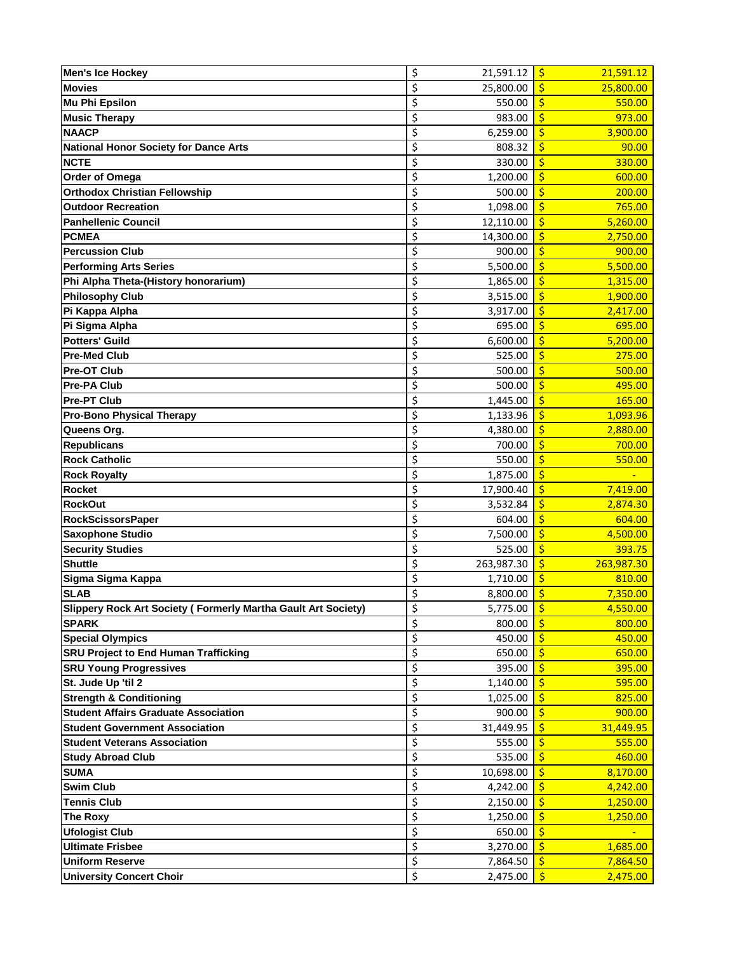| <b>Men's Ice Hockey</b>                                       | \$<br>21,591.12            | $\mathsf{S}$<br>21,591.12         |
|---------------------------------------------------------------|----------------------------|-----------------------------------|
| <b>Movies</b>                                                 | \$<br>25,800.00            | Ś<br>25,800.00                    |
| <b>Mu Phi Epsilon</b>                                         | \$<br>550.00               | \$<br>550.00                      |
| <b>Music Therapy</b>                                          | \$<br>983.00               | \$<br>973.00                      |
| <b>NAACP</b>                                                  | \$<br>6,259.00             | \$<br>3,900.00                    |
| <b>National Honor Society for Dance Arts</b>                  | \$<br>808.32               | \$<br>90.00                       |
| <b>NCTE</b>                                                   | \$<br>330.00               | Ś<br>330.00                       |
| Order of Omega                                                | \$<br>1,200.00             | Ś<br>600.00                       |
| <b>Orthodox Christian Fellowship</b>                          | \$<br>500.00               | $\frac{1}{2}$<br>200.00           |
| <b>Outdoor Recreation</b>                                     | \$<br>1,098.00             | $\frac{1}{2}$<br>765.00           |
| <b>Panhellenic Council</b>                                    | \$<br>12,110.00            | \$<br>5,260.00                    |
| <b>PCMEA</b>                                                  | \$<br>14,300.00            | \$<br>2,750.00                    |
| <b>Percussion Club</b>                                        | \$<br>900.00               | \$<br>900.00                      |
| <b>Performing Arts Series</b>                                 | \$<br>5,500.00             | \$<br>5,500.00                    |
| Phi Alpha Theta-(History honorarium)                          | \$<br>1,865.00             | $\mathsf{\dot{S}}$<br>1,315.00    |
| <b>Philosophy Club</b>                                        | \$<br>3,515.00             | Ś<br>1,900.00                     |
| Pi Kappa Alpha                                                | \$<br>3,917.00             | Ś<br>2,417.00                     |
| Pi Sigma Alpha                                                | \$<br>695.00               | \$<br>695.00                      |
| <b>Potters' Guild</b>                                         | \$<br>6,600.00             | \$<br>5,200.00                    |
| <b>Pre-Med Club</b>                                           | \$<br>525.00               | \$<br>275.00                      |
| <b>Pre-OT Club</b>                                            | \$<br>500.00               | \$<br>500.00                      |
|                                                               | \$                         |                                   |
| Pre-PA Club                                                   | 500.00<br>\$               | \$<br>495.00                      |
| <b>Pre-PT Club</b>                                            | 1,445.00                   | \$<br>165.00                      |
| <b>Pro-Bono Physical Therapy</b>                              | \$<br>1,133.96             | Ś<br>1,093.96                     |
| Queens Org.                                                   | \$<br>4,380.00             | \$<br>2,880.00                    |
| <b>Republicans</b>                                            | \$<br>700.00               | $\frac{1}{2}$<br>700.00           |
| <b>Rock Catholic</b>                                          | \$<br>550.00               | $\frac{1}{2}$<br>550.00           |
| <b>Rock Royalty</b>                                           | \$<br>1,875.00             | \$                                |
| <b>Rocket</b>                                                 | \$<br>17,900.40            | $\ddot{\mathsf{S}}$<br>7,419.00   |
| <b>RockOut</b>                                                | \$<br>3,532.84             | \$<br>2,874.30                    |
| <b>RockScissorsPaper</b>                                      | \$<br>604.00               | $\dot{\mathsf{S}}$<br>604.00      |
| <b>Saxophone Studio</b>                                       | \$<br>7,500.00             | Ś<br>4,500.00                     |
| <b>Security Studies</b>                                       | \$<br>525.00               | $\mathsf{\dot{S}}$<br>393.75      |
| <b>Shuttle</b>                                                | \$<br>263,987.30           | \$<br>263,987.30                  |
| Sigma Sigma Kappa                                             | \$<br>1,710.00             | \$<br>810.00                      |
| <b>SLAB</b>                                                   | \$<br>8,800.00             | \$<br>7,350.00                    |
| Slippery Rock Art Society (Formerly Martha Gault Art Society) | Ş<br>5,775.00 <b>S</b>     | 4,550.00                          |
| <b>SPARK</b>                                                  | \$<br>800.00               | $\mathsf{S}$<br>800.00            |
| <b>Special Olympics</b>                                       | \$<br>450.00               | 450.00<br>Ŝ.                      |
| <b>SRU Project to End Human Trafficking</b>                   | \$<br>650.00               | Ŝ<br>650.00                       |
| <b>SRU Young Progressives</b>                                 | \$<br>395.00               | $\mathsf{S}$<br>395.00            |
| St. Jude Up 'til 2                                            | \$<br>1,140.00             | $\mathsf{S}$<br>595.00            |
| <b>Strength &amp; Conditioning</b>                            | \$<br>1,025.00             | $\mathsf{S}$<br>825.00            |
| <b>Student Affairs Graduate Association</b>                   | \$<br>900.00               | $\mathsf{\hat{S}}$<br>900.00      |
| <b>Student Government Association</b>                         | \$<br>31,449.95            | $\ddot{\mathsf{S}}$<br>31,449.95  |
| <b>Student Veterans Association</b>                           | \$<br>555.00               | $\overline{\mathsf{S}}$<br>555.00 |
| <b>Study Abroad Club</b>                                      | $\overline{\xi}$<br>535.00 | $\overline{\mathsf{S}}$<br>460.00 |
| <b>SUMA</b>                                                   | \$<br>10,698.00            | Ś<br>8,170.00                     |
| <b>Swim Club</b>                                              | \$<br>4,242.00             | Ś<br>4,242.00                     |
| <b>Tennis Club</b>                                            | \$<br>2,150.00             | Ŝ<br>1,250.00                     |
| <b>The Roxy</b>                                               | \$<br>1,250.00             | $\zeta$<br>1,250.00               |
| <b>Ufologist Club</b>                                         | \$<br>650.00               | $\frac{1}{2}$                     |
| <b>Ultimate Frisbee</b>                                       | \$<br>3,270.00             | \$<br>1,685.00                    |
| <b>Uniform Reserve</b>                                        | \$<br>7,864.50             | -\$<br>7,864.50                   |
| <b>University Concert Choir</b>                               | \$<br>2,475.00             | Ŝ.<br>2,475.00                    |